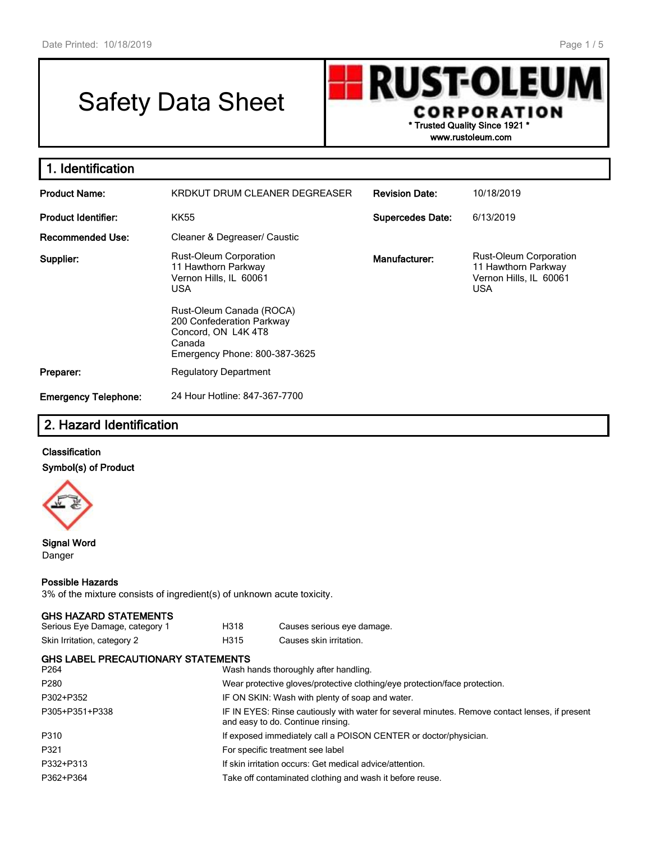# Safety Data Sheet

**RUST-OLEUN** CORPORATION **\* Trusted Quality Since 1921 \* www.rustoleum.com**

**1. Identification Product Name:** KRDKUT DRUM CLEANER DEGREASER **Revision Date:** 10/18/2019 **Product Identifier:** KK55 **Supercedes Date:** 6/13/2019 **Recommended Use:** Cleaner & Degreaser/ Caustic **Supplier:** Rust-Oleum Corporation 11 Hawthorn Parkway Vernon Hills, IL 60061 USA Rust-Oleum Canada (ROCA) 200 Confederation Parkway Concord, ON L4K 4T8 Canada Emergency Phone: 800-387-3625 **Manufacturer:** Rust-Oleum Corporation 11 Hawthorn Parkway Vernon Hills, IL 60061 USA **Preparer:** Regulatory Department **Emergency Telephone:** 24 Hour Hotline: 847-367-7700

# **2. Hazard Identification**

### **Classification Symbol(s) of Product**



#### **Signal Word** Danger

#### **Possible Hazards**

3% of the mixture consists of ingredient(s) of unknown acute toxicity.

#### **GHS HAZARD STATEMENTS**

| Serious Eye Damage, category 1 | H318 | Causes serious eye damage. |
|--------------------------------|------|----------------------------|
| Skin Irritation, category 2    | H315 | Causes skin irritation.    |

| GHS LABEL PRECAUTIONARY STATEMENTS<br>P264 | Wash hands thoroughly after handling.                                                                                               |
|--------------------------------------------|-------------------------------------------------------------------------------------------------------------------------------------|
| P280                                       | Wear protective gloves/protective clothing/eye protection/face protection.                                                          |
| P302+P352                                  | IF ON SKIN: Wash with plenty of soap and water.                                                                                     |
| P305+P351+P338                             | IF IN EYES: Rinse cautiously with water for several minutes. Remove contact lenses, if present<br>and easy to do. Continue rinsing. |
| P310                                       | If exposed immediately call a POISON CENTER or doctor/physician.                                                                    |
| P321                                       | For specific treatment see label                                                                                                    |
| P332+P313                                  | If skin irritation occurs: Get medical advice/attention.                                                                            |
| P362+P364                                  | Take off contaminated clothing and wash it before reuse.                                                                            |
|                                            |                                                                                                                                     |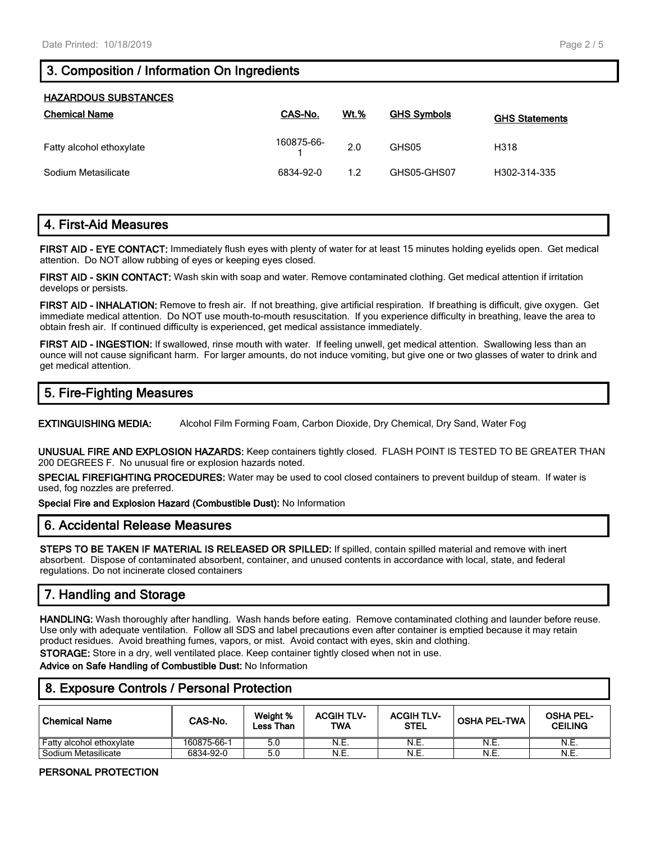# **3. Composition / Information On Ingredients**

| <b>HAZARDOUS SUBSTANCES</b> |            |             |                    |                       |  |  |
|-----------------------------|------------|-------------|--------------------|-----------------------|--|--|
| <b>Chemical Name</b>        | CAS-No.    | <b>Wt.%</b> | <b>GHS Symbols</b> | <b>GHS Statements</b> |  |  |
| Fatty alcohol ethoxylate    | 160875-66- | 2.0         | GHS05              | H318                  |  |  |
| Sodium Metasilicate         | 6834-92-0  | 1.2         | GHS05-GHS07        | H302-314-335          |  |  |

# **4. First-Aid Measures**

**FIRST AID - EYE CONTACT:** Immediately flush eyes with plenty of water for at least 15 minutes holding eyelids open. Get medical attention. Do NOT allow rubbing of eyes or keeping eyes closed.

**FIRST AID - SKIN CONTACT:** Wash skin with soap and water. Remove contaminated clothing. Get medical attention if irritation develops or persists.

**FIRST AID - INHALATION:** Remove to fresh air. If not breathing, give artificial respiration. If breathing is difficult, give oxygen. Get immediate medical attention. Do NOT use mouth-to-mouth resuscitation. If you experience difficulty in breathing, leave the area to obtain fresh air. If continued difficulty is experienced, get medical assistance immediately.

**FIRST AID - INGESTION:** If swallowed, rinse mouth with water. If feeling unwell, get medical attention. Swallowing less than an ounce will not cause significant harm. For larger amounts, do not induce vomiting, but give one or two glasses of water to drink and get medical attention.

# **5. Fire-Fighting Measures**

**EXTINGUISHING MEDIA:** Alcohol Film Forming Foam, Carbon Dioxide, Dry Chemical, Dry Sand, Water Fog

**UNUSUAL FIRE AND EXPLOSION HAZARDS:** Keep containers tightly closed. FLASH POINT IS TESTED TO BE GREATER THAN 200 DEGREES F. No unusual fire or explosion hazards noted.

**SPECIAL FIREFIGHTING PROCEDURES:** Water may be used to cool closed containers to prevent buildup of steam. If water is used, fog nozzles are preferred.

**Special Fire and Explosion Hazard (Combustible Dust):** No Information

## **6. Accidental Release Measures**

**STEPS TO BE TAKEN IF MATERIAL IS RELEASED OR SPILLED:** If spilled, contain spilled material and remove with inert absorbent. Dispose of contaminated absorbent, container, and unused contents in accordance with local, state, and federal regulations. Do not incinerate closed containers

# **7. Handling and Storage**

**HANDLING:** Wash thoroughly after handling. Wash hands before eating. Remove contaminated clothing and launder before reuse. Use only with adequate ventilation. Follow all SDS and label precautions even after container is emptied because it may retain product residues. Avoid breathing fumes, vapors, or mist. Avoid contact with eyes, skin and clothing.

**STORAGE:** Store in a dry, well ventilated place. Keep container tightly closed when not in use.

**Advice on Safe Handling of Combustible Dust:** No Information

# **8. Exposure Controls / Personal Protection**

| ∣ Chemical Name          | CAS-No.     | Weight %<br>Less Than | <b>ACGIHTLY</b><br>TWA | <b>ACGIH TLV-</b><br><b>STEL</b> | <b>OSHA PEL-TWA</b> | <b>OSHA PEL-</b><br><b>CEILING</b> |
|--------------------------|-------------|-----------------------|------------------------|----------------------------------|---------------------|------------------------------------|
| Fatty alcohol ethoxylate | 160875-66-1 | 5.C                   | N.E.                   | N.E.                             | N.E.                | N.E.                               |
| . Sodium Metasilicate    | 6834-92-0   | 5.0                   | N.E.                   | N.E.                             | N.E.                | N.E.                               |

#### **PERSONAL PROTECTION**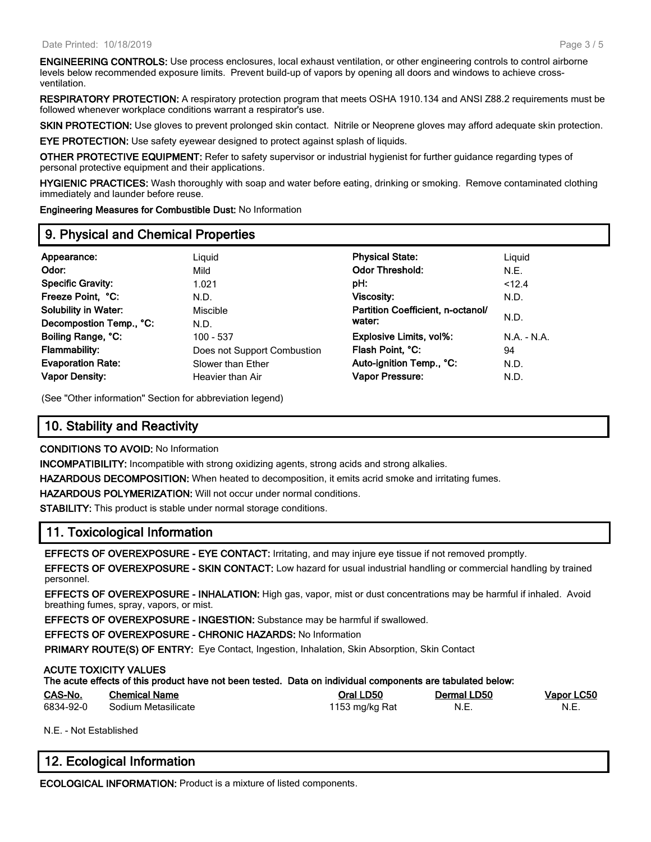**ENGINEERING CONTROLS:** Use process enclosures, local exhaust ventilation, or other engineering controls to control airborne levels below recommended exposure limits. Prevent build-up of vapors by opening all doors and windows to achieve crossventilation.

**RESPIRATORY PROTECTION:** A respiratory protection program that meets OSHA 1910.134 and ANSI Z88.2 requirements must be followed whenever workplace conditions warrant a respirator's use.

**SKIN PROTECTION:** Use gloves to prevent prolonged skin contact. Nitrile or Neoprene gloves may afford adequate skin protection.

**EYE PROTECTION:** Use safety eyewear designed to protect against splash of liquids.

**OTHER PROTECTIVE EQUIPMENT:** Refer to safety supervisor or industrial hygienist for further guidance regarding types of personal protective equipment and their applications.

**HYGIENIC PRACTICES:** Wash thoroughly with soap and water before eating, drinking or smoking. Remove contaminated clothing immediately and launder before reuse.

**Engineering Measures for Combustible Dust:** No Information

## **9. Physical and Chemical Properties**

| Appearance:                 | Liguid                      | <b>Physical State:</b>            | Liguid     |
|-----------------------------|-----------------------------|-----------------------------------|------------|
| Odor:                       | Mild                        | <b>Odor Threshold:</b>            | N.E.       |
| <b>Specific Gravity:</b>    | 1.021                       | pH:                               | < 12.4     |
| Freeze Point, °C:           | N.D.                        | <b>Viscosity:</b>                 | N.D.       |
| <b>Solubility in Water:</b> | Miscible                    | Partition Coefficient, n-octanol/ |            |
| Decompostion Temp., °C:     | N.D.                        | water:                            | N.D.       |
| Boiling Range, °C:          | 100 - 537                   | <b>Explosive Limits, vol%:</b>    | $NA - N.A$ |
| Flammability:               | Does not Support Combustion | Flash Point, °C:                  | 94         |
| <b>Evaporation Rate:</b>    | Slower than Ether           | Auto-ignition Temp., °C:          | N.D.       |
| <b>Vapor Density:</b>       | Heavier than Air            | <b>Vapor Pressure:</b>            | N.D.       |
|                             |                             |                                   |            |

(See "Other information" Section for abbreviation legend)

# **10. Stability and Reactivity**

**CONDITIONS TO AVOID:** No Information

**INCOMPATIBILITY:** Incompatible with strong oxidizing agents, strong acids and strong alkalies.

**HAZARDOUS DECOMPOSITION:** When heated to decomposition, it emits acrid smoke and irritating fumes.

**HAZARDOUS POLYMERIZATION:** Will not occur under normal conditions.

**STABILITY:** This product is stable under normal storage conditions.

## **11. Toxicological Information**

**EFFECTS OF OVEREXPOSURE - EYE CONTACT:** Irritating, and may injure eye tissue if not removed promptly.

**EFFECTS OF OVEREXPOSURE - SKIN CONTACT:** Low hazard for usual industrial handling or commercial handling by trained personnel.

**EFFECTS OF OVEREXPOSURE - INHALATION:** High gas, vapor, mist or dust concentrations may be harmful if inhaled. Avoid breathing fumes, spray, vapors, or mist.

**EFFECTS OF OVEREXPOSURE - INGESTION:** Substance may be harmful if swallowed.

**EFFECTS OF OVEREXPOSURE - CHRONIC HAZARDS:** No Information

**PRIMARY ROUTE(S) OF ENTRY:** Eye Contact, Ingestion, Inhalation, Skin Absorption, Skin Contact

#### **ACUTE TOXICITY VALUES**

| CAS-No.   | <b>Chemical Name</b> | Oral LD50      | Dermal LD50 | Vapor LC50 |
|-----------|----------------------|----------------|-------------|------------|
| 6834-92-0 | Sodium Metasilicate  | 1153 mg/kg Rat | N F<br>᠃    | N.E.       |

N.E. - Not Established

# **12. Ecological Information**

**ECOLOGICAL INFORMATION:** Product is a mixture of listed components.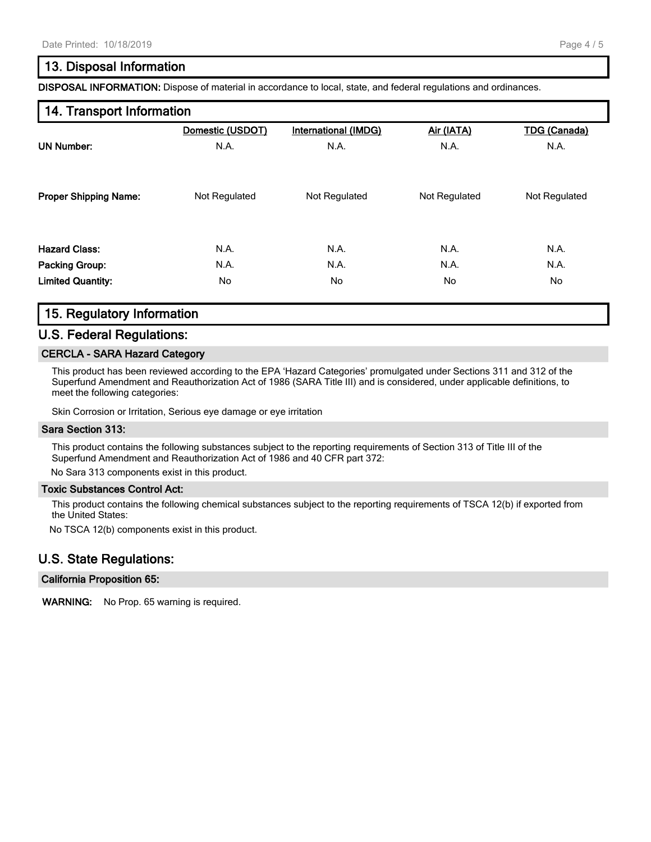## **13. Disposal Information**

**DISPOSAL INFORMATION:** Dispose of material in accordance to local, state, and federal regulations and ordinances.

## **14. Transport Information**

|                              | Domestic (USDOT) | International (IMDG) | Air (IATA)    | <b>TDG (Canada)</b> |
|------------------------------|------------------|----------------------|---------------|---------------------|
| <b>UN Number:</b>            | N.A.             | N.A.                 | N.A.          | N.A.                |
| <b>Proper Shipping Name:</b> | Not Regulated    | Not Regulated        | Not Regulated | Not Regulated       |
| <b>Hazard Class:</b>         | N.A.             | N.A.                 | N.A.          | N.A.                |
| <b>Packing Group:</b>        | N.A.             | N.A.                 | N.A.          | N.A.                |
| <b>Limited Quantity:</b>     | No               | No                   | No.           | No                  |

## **15. Regulatory Information**

### **U.S. Federal Regulations:**

#### **CERCLA - SARA Hazard Category**

This product has been reviewed according to the EPA 'Hazard Categories' promulgated under Sections 311 and 312 of the Superfund Amendment and Reauthorization Act of 1986 (SARA Title III) and is considered, under applicable definitions, to meet the following categories:

Skin Corrosion or Irritation, Serious eye damage or eye irritation

#### **Sara Section 313:**

This product contains the following substances subject to the reporting requirements of Section 313 of Title III of the Superfund Amendment and Reauthorization Act of 1986 and 40 CFR part 372:

No Sara 313 components exist in this product.

#### **Toxic Substances Control Act:**

This product contains the following chemical substances subject to the reporting requirements of TSCA 12(b) if exported from the United States:

No TSCA 12(b) components exist in this product.

### **U.S. State Regulations:**

#### **California Proposition 65:**

**WARNING:** No Prop. 65 warning is required.